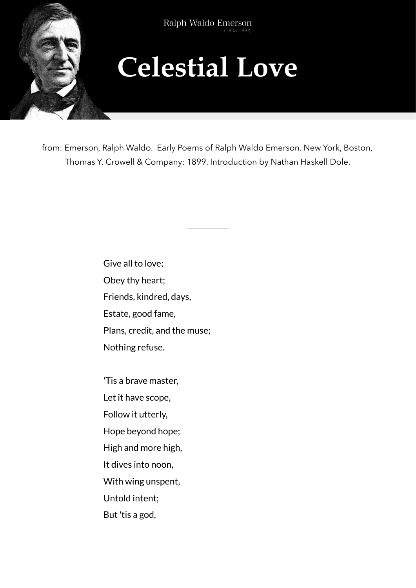

## **Celestial Love**

from: Emerson, Ralph Waldo. Early Poems of Ralph Waldo Emerson. New York, Boston, Thomas Y. Crowell & Company: 1899. Introduction by Nathan Haskell Dole.

> Give all to love; Obey thy heart; Friends, kindred, days, Estate, good fame, Plans, credit, and the muse; Nothing refuse.

'Tis a brave master, Let it have scope, Follow it utterly, Hope beyond hope; High and more high, It dives into noon, With wing unspent, Untold intent; But 'tis a god,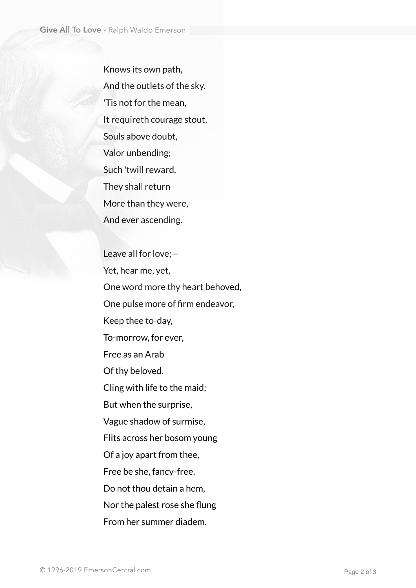Knows its own path, And the outlets of the sky. 'Tis not for the mean, It requireth courage stout, Souls above doubt, Valor unbending; Such 'twill reward, They shall return More than they were, And ever ascending.

Leave all for love;— Yet, hear me, yet, One word more thy heart behoved, One pulse more of firm endeavor, Keep thee to-day, To-morrow, for ever, Free as an Arab Of thy beloved. Cling with life to the maid; But when the surprise, Vague shadow of surmise, Flits across her bosom young Of a joy apart from thee, Free be she, fancy-free, Do not thou detain a hem, Nor the palest rose she flung From her summer diadem.